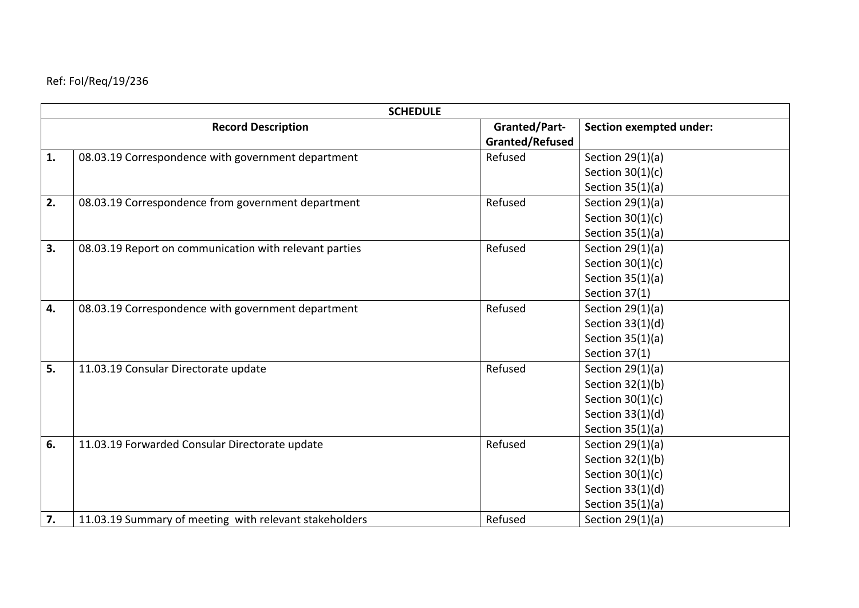## Ref: FoI/Req/19/236

|    | <b>SCHEDULE</b>                                        |                                         |                                |  |
|----|--------------------------------------------------------|-----------------------------------------|--------------------------------|--|
|    | <b>Record Description</b>                              | <b>Granted/Part-</b><br>Granted/Refused | <b>Section exempted under:</b> |  |
| 1. | 08.03.19 Correspondence with government department     | Refused                                 | Section $29(1)(a)$             |  |
|    |                                                        |                                         | Section $30(1)(c)$             |  |
|    |                                                        |                                         | Section $35(1)(a)$             |  |
| 2. | 08.03.19 Correspondence from government department     | Refused                                 | Section $29(1)(a)$             |  |
|    |                                                        |                                         | Section $30(1)(c)$             |  |
|    |                                                        |                                         | Section 35(1)(a)               |  |
| 3. | 08.03.19 Report on communication with relevant parties | Refused                                 | Section $29(1)(a)$             |  |
|    |                                                        |                                         | Section $30(1)(c)$             |  |
|    |                                                        |                                         | Section $35(1)(a)$             |  |
|    |                                                        |                                         | Section 37(1)                  |  |
| 4. | 08.03.19 Correspondence with government department     | Refused                                 | Section $29(1)(a)$             |  |
|    |                                                        |                                         | Section $33(1)(d)$             |  |
|    |                                                        |                                         | Section $35(1)(a)$             |  |
|    |                                                        |                                         | Section 37(1)                  |  |
| 5. | 11.03.19 Consular Directorate update                   | Refused                                 | Section $29(1)(a)$             |  |
|    |                                                        |                                         | Section 32(1)(b)               |  |
|    |                                                        |                                         | Section $30(1)(c)$             |  |
|    |                                                        |                                         | Section 33(1)(d)               |  |
|    |                                                        |                                         | Section $35(1)(a)$             |  |
| 6. | 11.03.19 Forwarded Consular Directorate update         | Refused                                 | Section $29(1)(a)$             |  |
|    |                                                        |                                         | Section 32(1)(b)               |  |
|    |                                                        |                                         | Section $30(1)(c)$             |  |
|    |                                                        |                                         | Section $33(1)(d)$             |  |
|    |                                                        |                                         | Section $35(1)(a)$             |  |
| 7. | 11.03.19 Summary of meeting with relevant stakeholders | Refused                                 | Section $29(1)(a)$             |  |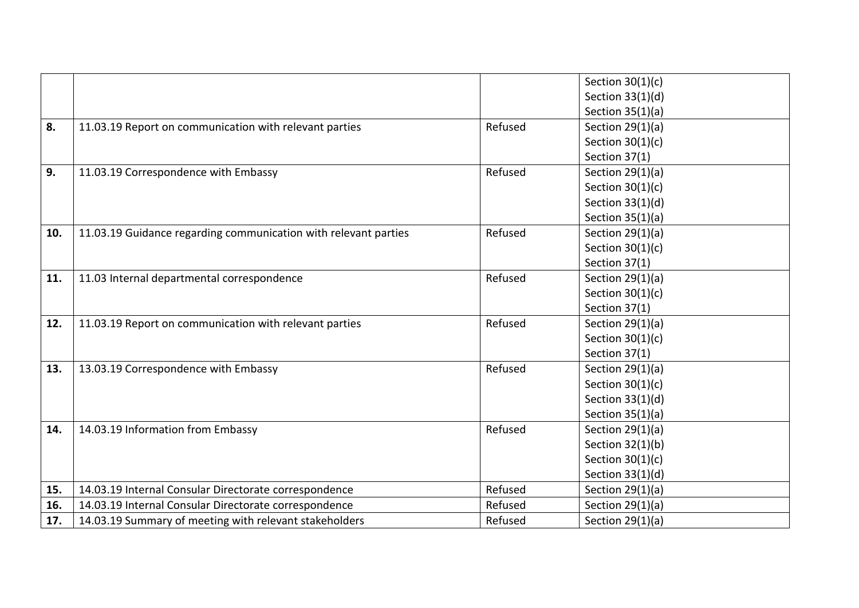|     |                                                                 |         | Section 30(1)(c)   |
|-----|-----------------------------------------------------------------|---------|--------------------|
|     |                                                                 |         | Section 33(1)(d)   |
|     |                                                                 |         | Section $35(1)(a)$ |
| 8.  | 11.03.19 Report on communication with relevant parties          | Refused | Section $29(1)(a)$ |
|     |                                                                 |         | Section $30(1)(c)$ |
|     |                                                                 |         | Section 37(1)      |
| 9.  | 11.03.19 Correspondence with Embassy                            | Refused | Section $29(1)(a)$ |
|     |                                                                 |         | Section $30(1)(c)$ |
|     |                                                                 |         | Section 33(1)(d)   |
|     |                                                                 |         | Section $35(1)(a)$ |
| 10. | 11.03.19 Guidance regarding communication with relevant parties | Refused | Section $29(1)(a)$ |
|     |                                                                 |         | Section $30(1)(c)$ |
|     |                                                                 |         | Section 37(1)      |
| 11. | 11.03 Internal departmental correspondence                      | Refused | Section $29(1)(a)$ |
|     |                                                                 |         | Section $30(1)(c)$ |
|     |                                                                 |         | Section 37(1)      |
| 12. | 11.03.19 Report on communication with relevant parties          | Refused | Section $29(1)(a)$ |
|     |                                                                 |         | Section $30(1)(c)$ |
|     |                                                                 |         | Section 37(1)      |
| 13. | 13.03.19 Correspondence with Embassy                            | Refused | Section 29(1)(a)   |
|     |                                                                 |         | Section $30(1)(c)$ |
|     |                                                                 |         | Section 33(1)(d)   |
|     |                                                                 |         | Section $35(1)(a)$ |
| 14. | 14.03.19 Information from Embassy                               | Refused | Section $29(1)(a)$ |
|     |                                                                 |         | Section 32(1)(b)   |
|     |                                                                 |         | Section $30(1)(c)$ |
|     |                                                                 |         | Section 33(1)(d)   |
| 15. | 14.03.19 Internal Consular Directorate correspondence           | Refused | Section $29(1)(a)$ |
| 16. | 14.03.19 Internal Consular Directorate correspondence           | Refused | Section $29(1)(a)$ |
| 17. | 14.03.19 Summary of meeting with relevant stakeholders          | Refused | Section $29(1)(a)$ |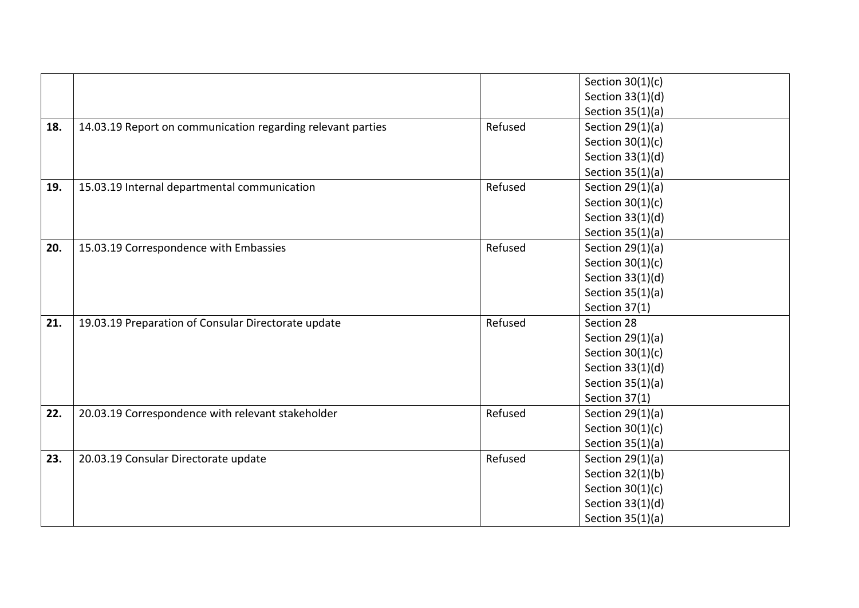|     |                                                             |         | Section $30(1)(c)$ |
|-----|-------------------------------------------------------------|---------|--------------------|
|     |                                                             |         | Section 33(1)(d)   |
|     |                                                             |         | Section $35(1)(a)$ |
| 18. | 14.03.19 Report on communication regarding relevant parties | Refused | Section $29(1)(a)$ |
|     |                                                             |         | Section $30(1)(c)$ |
|     |                                                             |         | Section 33(1)(d)   |
|     |                                                             |         | Section $35(1)(a)$ |
| 19. | 15.03.19 Internal departmental communication                | Refused | Section $29(1)(a)$ |
|     |                                                             |         | Section $30(1)(c)$ |
|     |                                                             |         | Section 33(1)(d)   |
|     |                                                             |         | Section $35(1)(a)$ |
| 20. | 15.03.19 Correspondence with Embassies                      | Refused | Section $29(1)(a)$ |
|     |                                                             |         | Section $30(1)(c)$ |
|     |                                                             |         | Section 33(1)(d)   |
|     |                                                             |         | Section $35(1)(a)$ |
|     |                                                             |         | Section 37(1)      |
| 21. | 19.03.19 Preparation of Consular Directorate update         | Refused | Section 28         |
|     |                                                             |         | Section $29(1)(a)$ |
|     |                                                             |         | Section $30(1)(c)$ |
|     |                                                             |         | Section 33(1)(d)   |
|     |                                                             |         | Section $35(1)(a)$ |
|     |                                                             |         | Section 37(1)      |
| 22. | 20.03.19 Correspondence with relevant stakeholder           | Refused | Section $29(1)(a)$ |
|     |                                                             |         | Section $30(1)(c)$ |
|     |                                                             |         | Section $35(1)(a)$ |
| 23. | 20.03.19 Consular Directorate update                        | Refused | Section $29(1)(a)$ |
|     |                                                             |         | Section 32(1)(b)   |
|     |                                                             |         | Section $30(1)(c)$ |
|     |                                                             |         | Section 33(1)(d)   |
|     |                                                             |         | Section $35(1)(a)$ |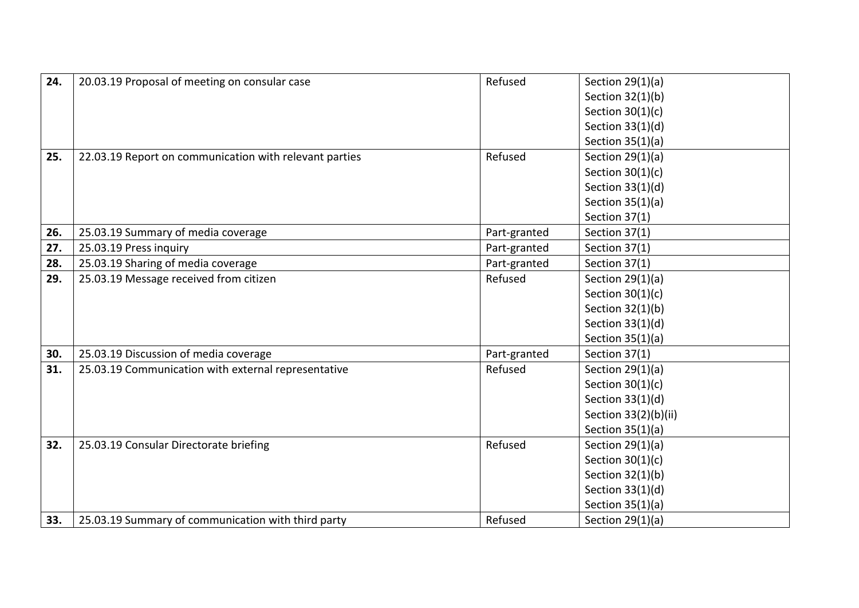| 24. | 20.03.19 Proposal of meeting on consular case          | Refused      | Section $29(1)(a)$   |
|-----|--------------------------------------------------------|--------------|----------------------|
|     |                                                        |              | Section 32(1)(b)     |
|     |                                                        |              | Section $30(1)(c)$   |
|     |                                                        |              | Section 33(1)(d)     |
|     |                                                        |              | Section $35(1)(a)$   |
| 25. | 22.03.19 Report on communication with relevant parties | Refused      | Section $29(1)(a)$   |
|     |                                                        |              | Section $30(1)(c)$   |
|     |                                                        |              | Section 33(1)(d)     |
|     |                                                        |              | Section $35(1)(a)$   |
|     |                                                        |              | Section 37(1)        |
| 26. | 25.03.19 Summary of media coverage                     | Part-granted | Section 37(1)        |
| 27. | 25.03.19 Press inquiry                                 | Part-granted | Section 37(1)        |
| 28. | 25.03.19 Sharing of media coverage                     | Part-granted | Section 37(1)        |
| 29. | 25.03.19 Message received from citizen                 | Refused      | Section $29(1)(a)$   |
|     |                                                        |              | Section $30(1)(c)$   |
|     |                                                        |              | Section 32(1)(b)     |
|     |                                                        |              | Section 33(1)(d)     |
|     |                                                        |              | Section $35(1)(a)$   |
| 30. | 25.03.19 Discussion of media coverage                  | Part-granted | Section 37(1)        |
| 31. | 25.03.19 Communication with external representative    | Refused      | Section $29(1)(a)$   |
|     |                                                        |              | Section $30(1)(c)$   |
|     |                                                        |              | Section 33(1)(d)     |
|     |                                                        |              | Section 33(2)(b)(ii) |
|     |                                                        |              | Section $35(1)(a)$   |
| 32. | 25.03.19 Consular Directorate briefing                 | Refused      | Section $29(1)(a)$   |
|     |                                                        |              | Section $30(1)(c)$   |
|     |                                                        |              | Section $32(1)(b)$   |
|     |                                                        |              | Section $33(1)(d)$   |
|     |                                                        |              | Section $35(1)(a)$   |
| 33. | 25.03.19 Summary of communication with third party     | Refused      | Section $29(1)(a)$   |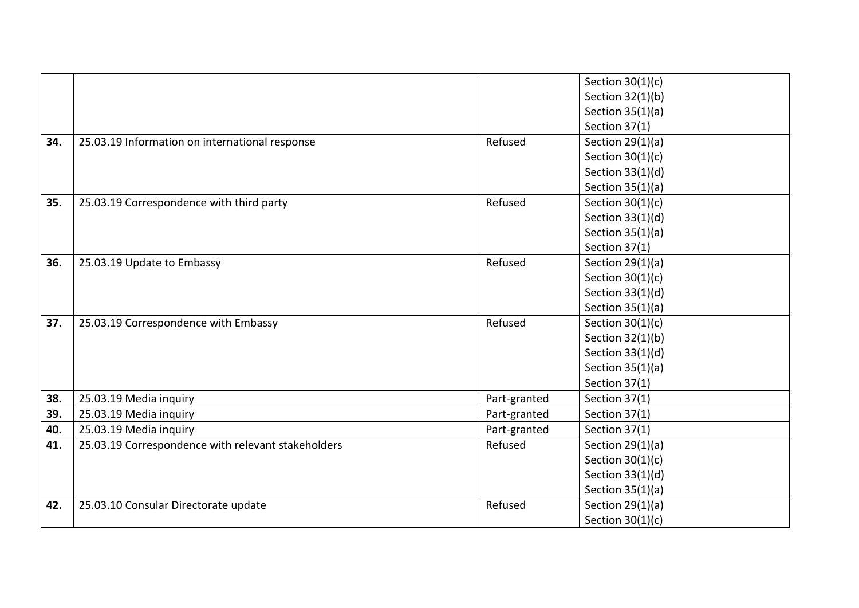|     |                                                    |              | Section $30(1)(c)$ |
|-----|----------------------------------------------------|--------------|--------------------|
|     |                                                    |              | Section 32(1)(b)   |
|     |                                                    |              | Section $35(1)(a)$ |
|     |                                                    |              | Section 37(1)      |
| 34. | 25.03.19 Information on international response     | Refused      | Section $29(1)(a)$ |
|     |                                                    |              | Section $30(1)(c)$ |
|     |                                                    |              | Section $33(1)(d)$ |
|     |                                                    |              | Section $35(1)(a)$ |
| 35. | 25.03.19 Correspondence with third party           | Refused      | Section $30(1)(c)$ |
|     |                                                    |              | Section 33(1)(d)   |
|     |                                                    |              | Section $35(1)(a)$ |
|     |                                                    |              | Section 37(1)      |
| 36. | 25.03.19 Update to Embassy                         | Refused      | Section $29(1)(a)$ |
|     |                                                    |              | Section $30(1)(c)$ |
|     |                                                    |              | Section $33(1)(d)$ |
|     |                                                    |              | Section $35(1)(a)$ |
| 37. | 25.03.19 Correspondence with Embassy               | Refused      | Section $30(1)(c)$ |
|     |                                                    |              | Section $32(1)(b)$ |
|     |                                                    |              | Section $33(1)(d)$ |
|     |                                                    |              | Section $35(1)(a)$ |
|     |                                                    |              | Section 37(1)      |
| 38. | 25.03.19 Media inquiry                             | Part-granted | Section 37(1)      |
| 39. | 25.03.19 Media inquiry                             | Part-granted | Section 37(1)      |
| 40. | 25.03.19 Media inquiry                             | Part-granted | Section 37(1)      |
| 41. | 25.03.19 Correspondence with relevant stakeholders | Refused      | Section $29(1)(a)$ |
|     |                                                    |              | Section $30(1)(c)$ |
|     |                                                    |              | Section $33(1)(d)$ |
|     |                                                    |              | Section $35(1)(a)$ |
| 42. | 25.03.10 Consular Directorate update               | Refused      | Section $29(1)(a)$ |
|     |                                                    |              | Section $30(1)(c)$ |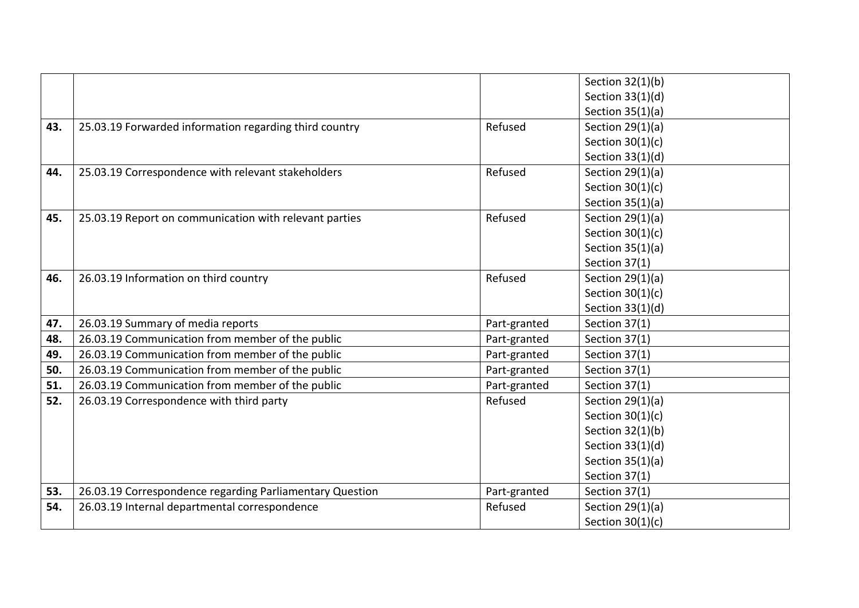|     |                                                          |              | Section 32(1)(b)   |
|-----|----------------------------------------------------------|--------------|--------------------|
|     |                                                          |              | Section 33(1)(d)   |
|     |                                                          |              | Section 35(1)(a)   |
| 43. | 25.03.19 Forwarded information regarding third country   | Refused      | Section $29(1)(a)$ |
|     |                                                          |              | Section $30(1)(c)$ |
|     |                                                          |              | Section 33(1)(d)   |
| 44. | 25.03.19 Correspondence with relevant stakeholders       | Refused      | Section $29(1)(a)$ |
|     |                                                          |              | Section $30(1)(c)$ |
|     |                                                          |              | Section $35(1)(a)$ |
| 45. | 25.03.19 Report on communication with relevant parties   | Refused      | Section $29(1)(a)$ |
|     |                                                          |              | Section $30(1)(c)$ |
|     |                                                          |              | Section $35(1)(a)$ |
|     |                                                          |              | Section 37(1)      |
| 46. | 26.03.19 Information on third country                    | Refused      | Section $29(1)(a)$ |
|     |                                                          |              | Section 30(1)(c)   |
|     |                                                          |              | Section 33(1)(d)   |
| 47. | 26.03.19 Summary of media reports                        | Part-granted | Section 37(1)      |
| 48. | 26.03.19 Communication from member of the public         | Part-granted | Section 37(1)      |
| 49. | 26.03.19 Communication from member of the public         | Part-granted | Section 37(1)      |
| 50. | 26.03.19 Communication from member of the public         | Part-granted | Section 37(1)      |
| 51. | 26.03.19 Communication from member of the public         | Part-granted | Section 37(1)      |
| 52. | 26.03.19 Correspondence with third party                 | Refused      | Section $29(1)(a)$ |
|     |                                                          |              | Section $30(1)(c)$ |
|     |                                                          |              | Section 32(1)(b)   |
|     |                                                          |              | Section 33(1)(d)   |
|     |                                                          |              | Section $35(1)(a)$ |
|     |                                                          |              | Section 37(1)      |
| 53. | 26.03.19 Correspondence regarding Parliamentary Question | Part-granted | Section 37(1)      |
| 54. | 26.03.19 Internal departmental correspondence            | Refused      | Section $29(1)(a)$ |
|     |                                                          |              | Section $30(1)(c)$ |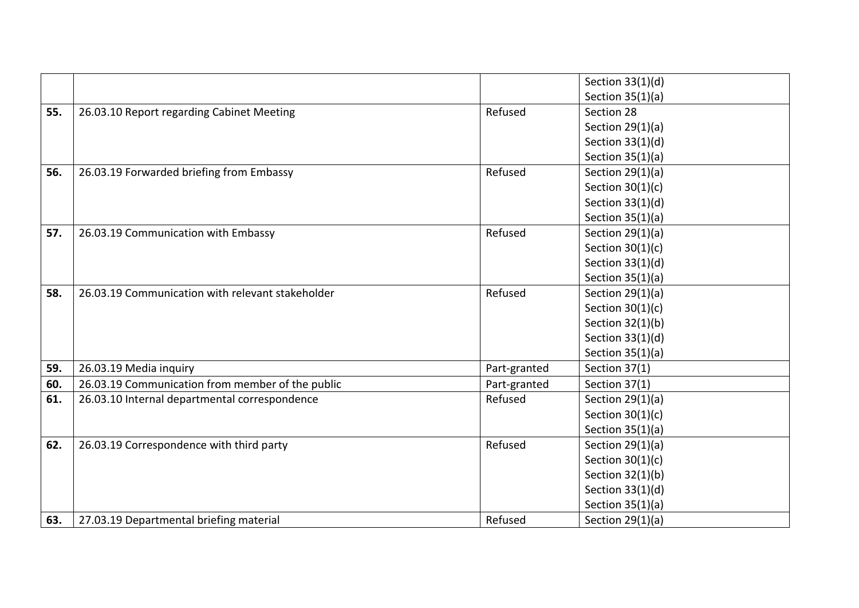|     |                                                  |              | Section 33(1)(d)   |
|-----|--------------------------------------------------|--------------|--------------------|
|     |                                                  |              | Section $35(1)(a)$ |
| 55. | 26.03.10 Report regarding Cabinet Meeting        | Refused      | Section 28         |
|     |                                                  |              | Section $29(1)(a)$ |
|     |                                                  |              | Section 33(1)(d)   |
|     |                                                  |              | Section $35(1)(a)$ |
| 56. | 26.03.19 Forwarded briefing from Embassy         | Refused      | Section $29(1)(a)$ |
|     |                                                  |              | Section $30(1)(c)$ |
|     |                                                  |              | Section 33(1)(d)   |
|     |                                                  |              | Section $35(1)(a)$ |
| 57. | 26.03.19 Communication with Embassy              | Refused      | Section $29(1)(a)$ |
|     |                                                  |              | Section $30(1)(c)$ |
|     |                                                  |              | Section 33(1)(d)   |
|     |                                                  |              | Section $35(1)(a)$ |
| 58. | 26.03.19 Communication with relevant stakeholder | Refused      | Section $29(1)(a)$ |
|     |                                                  |              | Section $30(1)(c)$ |
|     |                                                  |              | Section $32(1)(b)$ |
|     |                                                  |              | Section 33(1)(d)   |
|     |                                                  |              | Section $35(1)(a)$ |
| 59. | 26.03.19 Media inquiry                           | Part-granted | Section 37(1)      |
| 60. | 26.03.19 Communication from member of the public | Part-granted | Section 37(1)      |
| 61. | 26.03.10 Internal departmental correspondence    | Refused      | Section $29(1)(a)$ |
|     |                                                  |              | Section $30(1)(c)$ |
|     |                                                  |              | Section $35(1)(a)$ |
| 62. | 26.03.19 Correspondence with third party         | Refused      | Section $29(1)(a)$ |
|     |                                                  |              | Section $30(1)(c)$ |
|     |                                                  |              | Section 32(1)(b)   |
|     |                                                  |              | Section 33(1)(d)   |
|     |                                                  |              | Section $35(1)(a)$ |
| 63. | 27.03.19 Departmental briefing material          | Refused      | Section $29(1)(a)$ |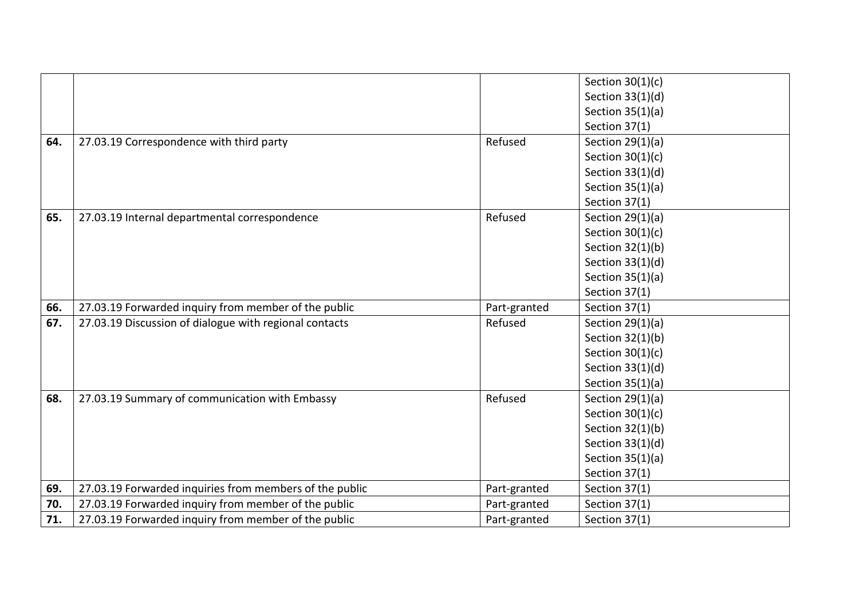|     |                                                         |              | Section $30(1)(c)$ |
|-----|---------------------------------------------------------|--------------|--------------------|
|     |                                                         |              | Section 33(1)(d)   |
|     |                                                         |              | Section $35(1)(a)$ |
|     |                                                         |              | Section 37(1)      |
| 64. | 27.03.19 Correspondence with third party                | Refused      | Section $29(1)(a)$ |
|     |                                                         |              | Section $30(1)(c)$ |
|     |                                                         |              | Section $33(1)(d)$ |
|     |                                                         |              | Section $35(1)(a)$ |
|     |                                                         |              | Section 37(1)      |
| 65. | 27.03.19 Internal departmental correspondence           | Refused      | Section $29(1)(a)$ |
|     |                                                         |              | Section $30(1)(c)$ |
|     |                                                         |              | Section 32(1)(b)   |
|     |                                                         |              | Section 33(1)(d)   |
|     |                                                         |              | Section $35(1)(a)$ |
|     |                                                         |              | Section 37(1)      |
|     |                                                         |              |                    |
| 66. | 27.03.19 Forwarded inquiry from member of the public    | Part-granted | Section 37(1)      |
| 67. | 27.03.19 Discussion of dialogue with regional contacts  | Refused      | Section $29(1)(a)$ |
|     |                                                         |              | Section 32(1)(b)   |
|     |                                                         |              | Section $30(1)(c)$ |
|     |                                                         |              | Section 33(1)(d)   |
|     |                                                         |              | Section $35(1)(a)$ |
| 68. | 27.03.19 Summary of communication with Embassy          | Refused      | Section $29(1)(a)$ |
|     |                                                         |              | Section $30(1)(c)$ |
|     |                                                         |              | Section $32(1)(b)$ |
|     |                                                         |              | Section 33(1)(d)   |
|     |                                                         |              | Section $35(1)(a)$ |
|     |                                                         |              | Section 37(1)      |
| 69. | 27.03.19 Forwarded inquiries from members of the public | Part-granted | Section 37(1)      |
| 70. | 27.03.19 Forwarded inquiry from member of the public    | Part-granted | Section 37(1)      |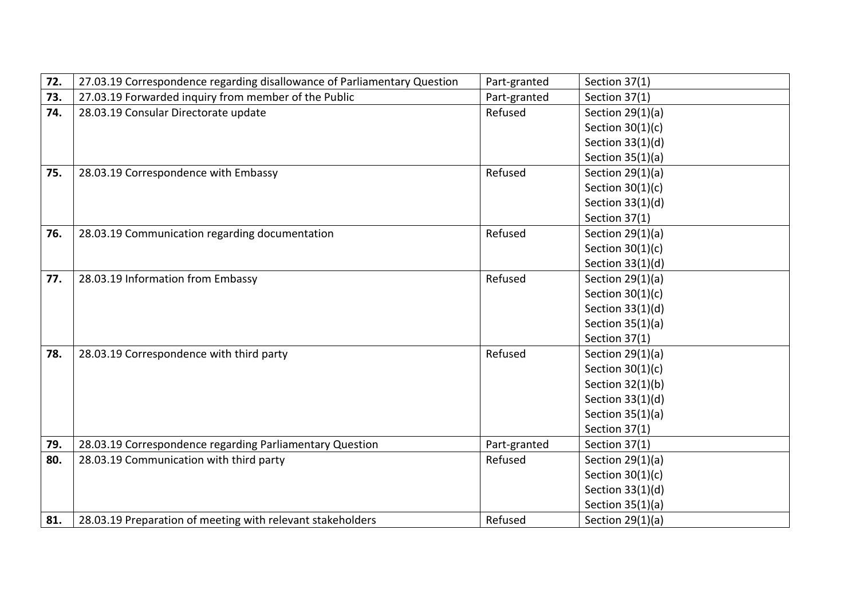| 72. | 27.03.19 Correspondence regarding disallowance of Parliamentary Question | Part-granted | Section 37(1)      |
|-----|--------------------------------------------------------------------------|--------------|--------------------|
| 73. | 27.03.19 Forwarded inquiry from member of the Public                     | Part-granted | Section 37(1)      |
| 74. | 28.03.19 Consular Directorate update                                     | Refused      | Section $29(1)(a)$ |
|     |                                                                          |              | Section $30(1)(c)$ |
|     |                                                                          |              | Section 33(1)(d)   |
|     |                                                                          |              | Section $35(1)(a)$ |
| 75. | 28.03.19 Correspondence with Embassy                                     | Refused      | Section $29(1)(a)$ |
|     |                                                                          |              | Section $30(1)(c)$ |
|     |                                                                          |              | Section 33(1)(d)   |
|     |                                                                          |              | Section 37(1)      |
| 76. | 28.03.19 Communication regarding documentation                           | Refused      | Section $29(1)(a)$ |
|     |                                                                          |              | Section $30(1)(c)$ |
|     |                                                                          |              | Section $33(1)(d)$ |
| 77. | 28.03.19 Information from Embassy                                        | Refused      | Section $29(1)(a)$ |
|     |                                                                          |              | Section $30(1)(c)$ |
|     |                                                                          |              | Section 33(1)(d)   |
|     |                                                                          |              | Section $35(1)(a)$ |
|     |                                                                          |              | Section 37(1)      |
| 78. | 28.03.19 Correspondence with third party                                 | Refused      | Section $29(1)(a)$ |
|     |                                                                          |              | Section $30(1)(c)$ |
|     |                                                                          |              | Section 32(1)(b)   |
|     |                                                                          |              | Section 33(1)(d)   |
|     |                                                                          |              | Section $35(1)(a)$ |
|     |                                                                          |              | Section 37(1)      |
| 79. | 28.03.19 Correspondence regarding Parliamentary Question                 | Part-granted | Section 37(1)      |
| 80. | 28.03.19 Communication with third party                                  | Refused      | Section $29(1)(a)$ |
|     |                                                                          |              | Section $30(1)(c)$ |
|     |                                                                          |              | Section 33(1)(d)   |
|     |                                                                          |              | Section $35(1)(a)$ |
| 81. | 28.03.19 Preparation of meeting with relevant stakeholders               | Refused      | Section $29(1)(a)$ |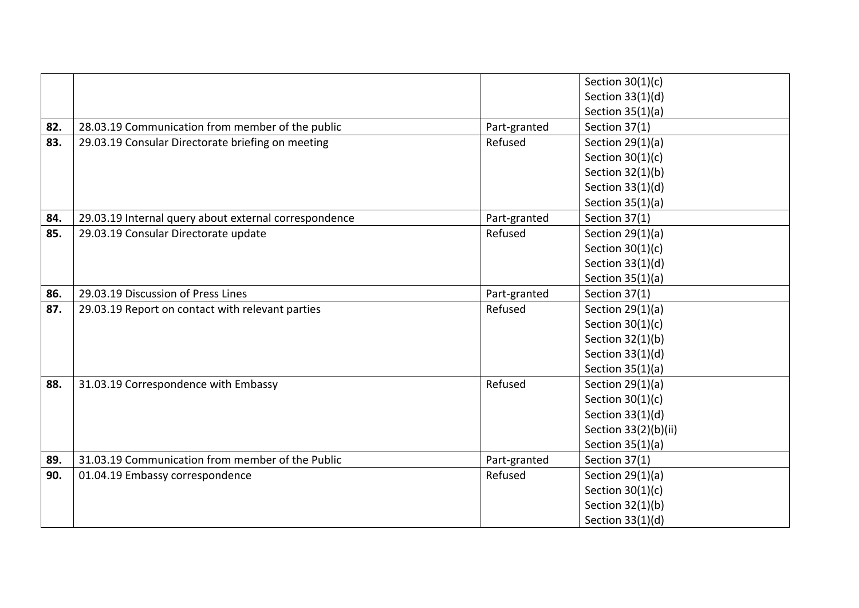|     |                                                       |              | Section $30(1)(c)$   |
|-----|-------------------------------------------------------|--------------|----------------------|
|     |                                                       |              | Section 33(1)(d)     |
|     |                                                       |              | Section $35(1)(a)$   |
| 82. | 28.03.19 Communication from member of the public      | Part-granted | Section 37(1)        |
| 83. | 29.03.19 Consular Directorate briefing on meeting     | Refused      | Section $29(1)(a)$   |
|     |                                                       |              | Section $30(1)(c)$   |
|     |                                                       |              | Section 32(1)(b)     |
|     |                                                       |              | Section 33(1)(d)     |
|     |                                                       |              | Section $35(1)(a)$   |
| 84. | 29.03.19 Internal query about external correspondence | Part-granted | Section 37(1)        |
| 85. | 29.03.19 Consular Directorate update                  | Refused      | Section $29(1)(a)$   |
|     |                                                       |              | Section $30(1)(c)$   |
|     |                                                       |              | Section 33(1)(d)     |
|     |                                                       |              | Section $35(1)(a)$   |
| 86. | 29.03.19 Discussion of Press Lines                    | Part-granted | Section 37(1)        |
| 87. | 29.03.19 Report on contact with relevant parties      | Refused      | Section $29(1)(a)$   |
|     |                                                       |              | Section $30(1)(c)$   |
|     |                                                       |              | Section 32(1)(b)     |
|     |                                                       |              | Section 33(1)(d)     |
|     |                                                       |              | Section $35(1)(a)$   |
| 88. | 31.03.19 Correspondence with Embassy                  | Refused      | Section $29(1)(a)$   |
|     |                                                       |              | Section $30(1)(c)$   |
|     |                                                       |              | Section 33(1)(d)     |
|     |                                                       |              | Section 33(2)(b)(ii) |
|     |                                                       |              | Section $35(1)(a)$   |
| 89. | 31.03.19 Communication from member of the Public      | Part-granted | Section 37(1)        |
| 90. | 01.04.19 Embassy correspondence                       | Refused      | Section $29(1)(a)$   |
|     |                                                       |              | Section $30(1)(c)$   |
|     |                                                       |              | Section 32(1)(b)     |
|     |                                                       |              | Section $33(1)(d)$   |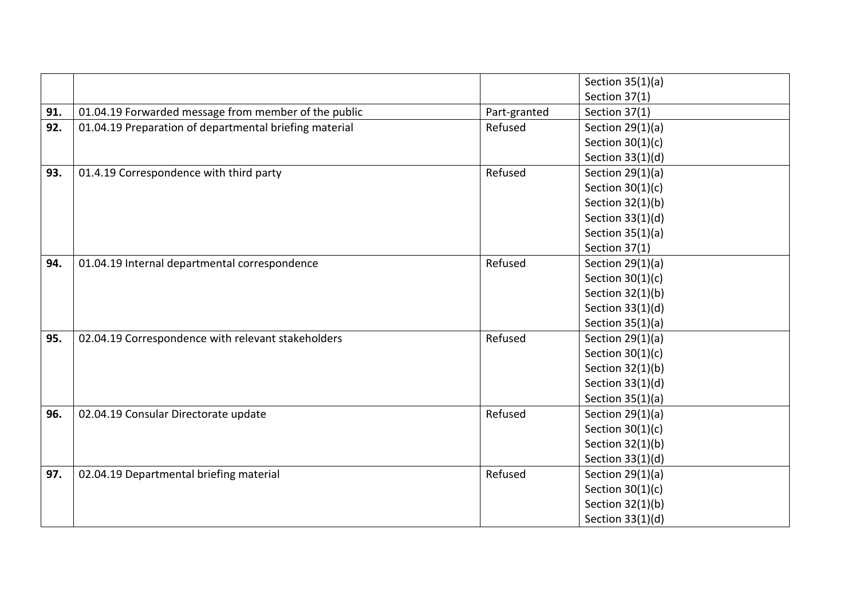|     |                                                        |              | Section $35(1)(a)$ |
|-----|--------------------------------------------------------|--------------|--------------------|
|     |                                                        |              | Section 37(1)      |
| 91. | 01.04.19 Forwarded message from member of the public   | Part-granted | Section 37(1)      |
| 92. | 01.04.19 Preparation of departmental briefing material | Refused      | Section $29(1)(a)$ |
|     |                                                        |              | Section $30(1)(c)$ |
|     |                                                        |              | Section 33(1)(d)   |
| 93. | 01.4.19 Correspondence with third party                | Refused      | Section $29(1)(a)$ |
|     |                                                        |              | Section $30(1)(c)$ |
|     |                                                        |              | Section 32(1)(b)   |
|     |                                                        |              | Section 33(1)(d)   |
|     |                                                        |              | Section $35(1)(a)$ |
|     |                                                        |              | Section 37(1)      |
| 94. | 01.04.19 Internal departmental correspondence          | Refused      | Section $29(1)(a)$ |
|     |                                                        |              | Section $30(1)(c)$ |
|     |                                                        |              | Section 32(1)(b)   |
|     |                                                        |              | Section 33(1)(d)   |
|     |                                                        |              | Section $35(1)(a)$ |
| 95. | 02.04.19 Correspondence with relevant stakeholders     | Refused      | Section $29(1)(a)$ |
|     |                                                        |              | Section $30(1)(c)$ |
|     |                                                        |              | Section 32(1)(b)   |
|     |                                                        |              | Section 33(1)(d)   |
|     |                                                        |              | Section $35(1)(a)$ |
| 96. | 02.04.19 Consular Directorate update                   | Refused      | Section $29(1)(a)$ |
|     |                                                        |              | Section $30(1)(c)$ |
|     |                                                        |              | Section 32(1)(b)   |
|     |                                                        |              | Section 33(1)(d)   |
| 97. | 02.04.19 Departmental briefing material                | Refused      | Section $29(1)(a)$ |
|     |                                                        |              | Section $30(1)(c)$ |
|     |                                                        |              | Section 32(1)(b)   |
|     |                                                        |              | Section $33(1)(d)$ |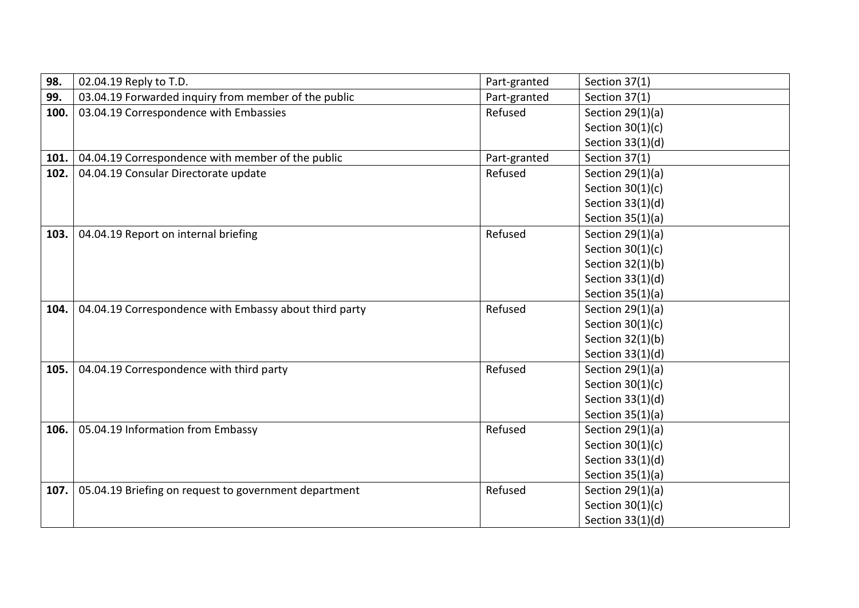| 98.  | 02.04.19 Reply to T.D.                                 | Part-granted | Section 37(1)      |
|------|--------------------------------------------------------|--------------|--------------------|
| 99.  | 03.04.19 Forwarded inquiry from member of the public   | Part-granted | Section 37(1)      |
| 100. | 03.04.19 Correspondence with Embassies                 | Refused      | Section $29(1)(a)$ |
|      |                                                        |              | Section $30(1)(c)$ |
|      |                                                        |              | Section 33(1)(d)   |
| 101. | 04.04.19 Correspondence with member of the public      | Part-granted | Section 37(1)      |
| 102. | 04.04.19 Consular Directorate update                   | Refused      | Section $29(1)(a)$ |
|      |                                                        |              | Section $30(1)(c)$ |
|      |                                                        |              | Section $33(1)(d)$ |
|      |                                                        |              | Section $35(1)(a)$ |
| 103. | 04.04.19 Report on internal briefing                   | Refused      | Section $29(1)(a)$ |
|      |                                                        |              | Section $30(1)(c)$ |
|      |                                                        |              | Section 32(1)(b)   |
|      |                                                        |              | Section 33(1)(d)   |
|      |                                                        |              | Section $35(1)(a)$ |
| 104. | 04.04.19 Correspondence with Embassy about third party | Refused      | Section $29(1)(a)$ |
|      |                                                        |              | Section $30(1)(c)$ |
|      |                                                        |              | Section 32(1)(b)   |
|      |                                                        |              | Section $33(1)(d)$ |
| 105. | 04.04.19 Correspondence with third party               | Refused      | Section $29(1)(a)$ |
|      |                                                        |              | Section $30(1)(c)$ |
|      |                                                        |              | Section $33(1)(d)$ |
|      |                                                        |              | Section $35(1)(a)$ |
| 106. | 05.04.19 Information from Embassy                      | Refused      | Section $29(1)(a)$ |
|      |                                                        |              | Section $30(1)(c)$ |
|      |                                                        |              | Section 33(1)(d)   |
|      |                                                        |              | Section $35(1)(a)$ |
| 107. | 05.04.19 Briefing on request to government department  | Refused      | Section $29(1)(a)$ |
|      |                                                        |              | Section $30(1)(c)$ |
|      |                                                        |              | Section $33(1)(d)$ |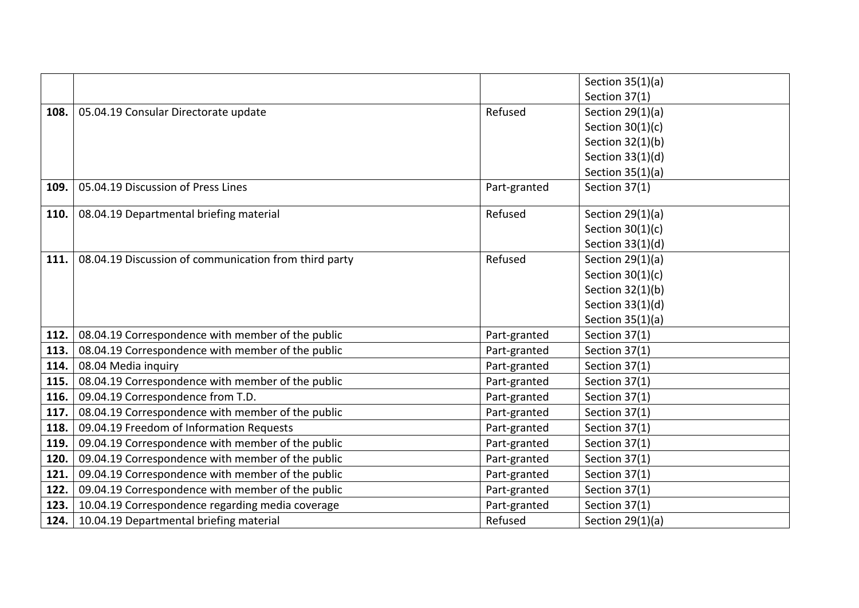|      |                                                       |              | Section $35(1)(a)$ |
|------|-------------------------------------------------------|--------------|--------------------|
|      |                                                       |              | Section 37(1)      |
| 108. | 05.04.19 Consular Directorate update                  | Refused      | Section $29(1)(a)$ |
|      |                                                       |              | Section $30(1)(c)$ |
|      |                                                       |              | Section $32(1)(b)$ |
|      |                                                       |              | Section 33(1)(d)   |
|      |                                                       |              | Section $35(1)(a)$ |
| 109. | 05.04.19 Discussion of Press Lines                    | Part-granted | Section 37(1)      |
| 110. | 08.04.19 Departmental briefing material               | Refused      | Section $29(1)(a)$ |
|      |                                                       |              | Section $30(1)(c)$ |
|      |                                                       |              | Section $33(1)(d)$ |
| 111. | 08.04.19 Discussion of communication from third party | Refused      | Section $29(1)(a)$ |
|      |                                                       |              | Section $30(1)(c)$ |
|      |                                                       |              | Section 32(1)(b)   |
|      |                                                       |              | Section 33(1)(d)   |
|      |                                                       |              | Section $35(1)(a)$ |
| 112. | 08.04.19 Correspondence with member of the public     | Part-granted | Section 37(1)      |
| 113. | 08.04.19 Correspondence with member of the public     | Part-granted | Section 37(1)      |
| 114. | 08.04 Media inquiry                                   | Part-granted | Section 37(1)      |
| 115. | 08.04.19 Correspondence with member of the public     | Part-granted | Section 37(1)      |
| 116. | 09.04.19 Correspondence from T.D.                     | Part-granted | Section 37(1)      |
| 117. | 08.04.19 Correspondence with member of the public     | Part-granted | Section 37(1)      |
| 118. | 09.04.19 Freedom of Information Requests              | Part-granted | Section 37(1)      |
| 119. | 09.04.19 Correspondence with member of the public     | Part-granted | Section 37(1)      |
| 120. | 09.04.19 Correspondence with member of the public     | Part-granted | Section 37(1)      |
| 121. | 09.04.19 Correspondence with member of the public     | Part-granted | Section 37(1)      |
| 122. | 09.04.19 Correspondence with member of the public     | Part-granted | Section 37(1)      |
| 123. | 10.04.19 Correspondence regarding media coverage      | Part-granted | Section 37(1)      |
| 124. | 10.04.19 Departmental briefing material               | Refused      | Section $29(1)(a)$ |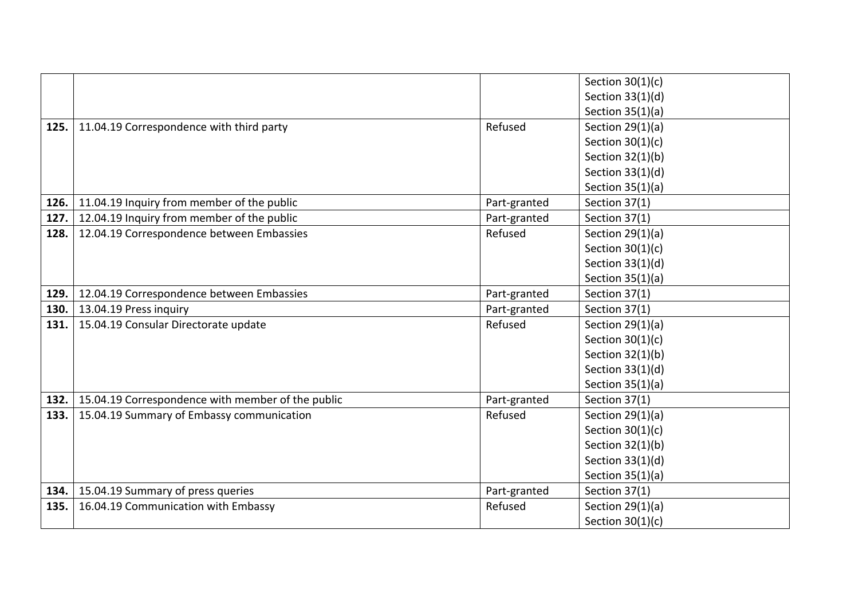|      |                                                   |              | Section $30(1)(c)$ |
|------|---------------------------------------------------|--------------|--------------------|
|      |                                                   |              | Section 33(1)(d)   |
|      |                                                   |              | Section $35(1)(a)$ |
| 125. | 11.04.19 Correspondence with third party          | Refused      | Section $29(1)(a)$ |
|      |                                                   |              | Section $30(1)(c)$ |
|      |                                                   |              | Section 32(1)(b)   |
|      |                                                   |              | Section 33(1)(d)   |
|      |                                                   |              | Section $35(1)(a)$ |
| 126. | 11.04.19 Inquiry from member of the public        | Part-granted | Section 37(1)      |
| 127. | 12.04.19 Inquiry from member of the public        | Part-granted | Section 37(1)      |
| 128. | 12.04.19 Correspondence between Embassies         | Refused      | Section $29(1)(a)$ |
|      |                                                   |              | Section $30(1)(c)$ |
|      |                                                   |              | Section 33(1)(d)   |
|      |                                                   |              | Section $35(1)(a)$ |
| 129. | 12.04.19 Correspondence between Embassies         | Part-granted | Section 37(1)      |
| 130. | 13.04.19 Press inquiry                            | Part-granted | Section 37(1)      |
| 131. | 15.04.19 Consular Directorate update              | Refused      | Section $29(1)(a)$ |
|      |                                                   |              | Section $30(1)(c)$ |
|      |                                                   |              | Section 32(1)(b)   |
|      |                                                   |              | Section 33(1)(d)   |
|      |                                                   |              | Section $35(1)(a)$ |
| 132. | 15.04.19 Correspondence with member of the public | Part-granted | Section 37(1)      |
| 133. | 15.04.19 Summary of Embassy communication         | Refused      | Section $29(1)(a)$ |
|      |                                                   |              | Section $30(1)(c)$ |
|      |                                                   |              | Section 32(1)(b)   |
|      |                                                   |              | Section $33(1)(d)$ |
|      |                                                   |              | Section $35(1)(a)$ |
| 134. | 15.04.19 Summary of press queries                 | Part-granted | Section 37(1)      |
| 135. | 16.04.19 Communication with Embassy               | Refused      | Section $29(1)(a)$ |
|      |                                                   |              | Section $30(1)(c)$ |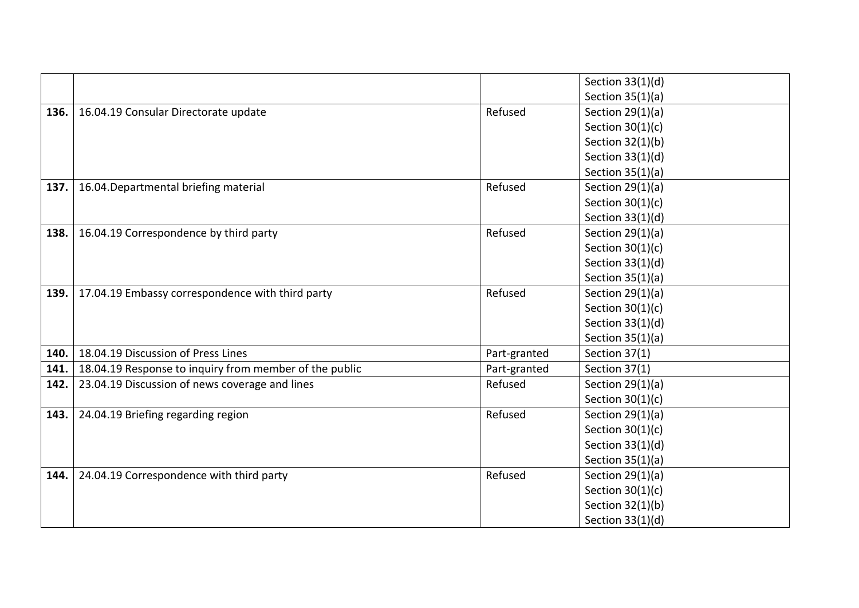|      |                                                        |              | Section 33(1)(d)   |
|------|--------------------------------------------------------|--------------|--------------------|
|      |                                                        |              | Section $35(1)(a)$ |
| 136. | 16.04.19 Consular Directorate update                   | Refused      | Section $29(1)(a)$ |
|      |                                                        |              | Section $30(1)(c)$ |
|      |                                                        |              | Section 32(1)(b)   |
|      |                                                        |              | Section 33(1)(d)   |
|      |                                                        |              | Section $35(1)(a)$ |
| 137. | 16.04. Departmental briefing material                  | Refused      | Section $29(1)(a)$ |
|      |                                                        |              | Section $30(1)(c)$ |
|      |                                                        |              | Section 33(1)(d)   |
| 138. | 16.04.19 Correspondence by third party                 | Refused      | Section $29(1)(a)$ |
|      |                                                        |              | Section $30(1)(c)$ |
|      |                                                        |              | Section $33(1)(d)$ |
|      |                                                        |              | Section $35(1)(a)$ |
| 139. | 17.04.19 Embassy correspondence with third party       | Refused      | Section $29(1)(a)$ |
|      |                                                        |              | Section $30(1)(c)$ |
|      |                                                        |              | Section $33(1)(d)$ |
|      |                                                        |              | Section $35(1)(a)$ |
| 140. | 18.04.19 Discussion of Press Lines                     | Part-granted | Section 37(1)      |
| 141. | 18.04.19 Response to inquiry from member of the public | Part-granted | Section 37(1)      |
| 142. | 23.04.19 Discussion of news coverage and lines         | Refused      | Section $29(1)(a)$ |
|      |                                                        |              | Section $30(1)(c)$ |
| 143. | 24.04.19 Briefing regarding region                     | Refused      | Section $29(1)(a)$ |
|      |                                                        |              | Section $30(1)(c)$ |
|      |                                                        |              | Section $33(1)(d)$ |
|      |                                                        |              | Section $35(1)(a)$ |
| 144. | 24.04.19 Correspondence with third party               | Refused      | Section $29(1)(a)$ |
|      |                                                        |              | Section $30(1)(c)$ |
|      |                                                        |              | Section 32(1)(b)   |
|      |                                                        |              | Section $33(1)(d)$ |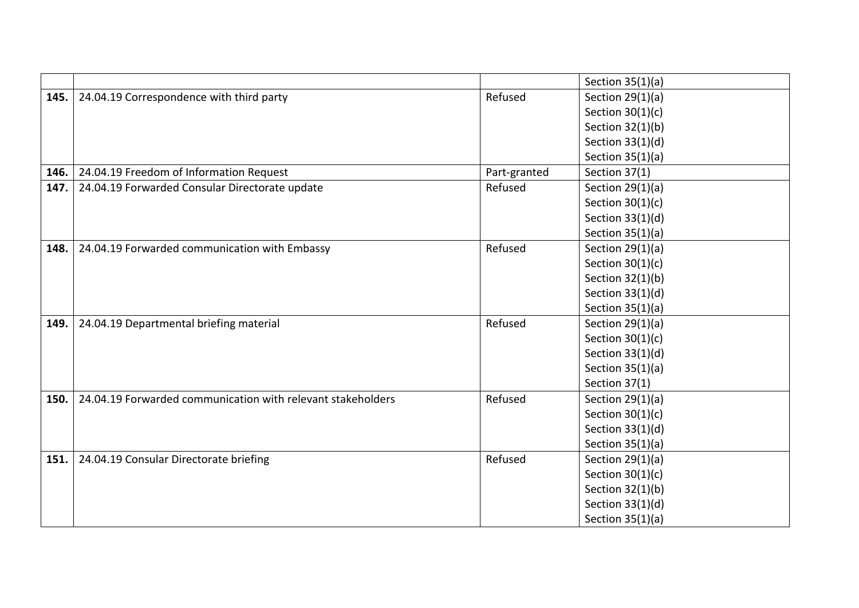|      |                                                             |              | Section $35(1)(a)$ |
|------|-------------------------------------------------------------|--------------|--------------------|
| 145. | 24.04.19 Correspondence with third party                    | Refused      | Section $29(1)(a)$ |
|      |                                                             |              | Section $30(1)(c)$ |
|      |                                                             |              | Section 32(1)(b)   |
|      |                                                             |              | Section 33(1)(d)   |
|      |                                                             |              | Section $35(1)(a)$ |
| 146. | 24.04.19 Freedom of Information Request                     | Part-granted | Section 37(1)      |
| 147. | 24.04.19 Forwarded Consular Directorate update              | Refused      | Section $29(1)(a)$ |
|      |                                                             |              | Section $30(1)(c)$ |
|      |                                                             |              | Section 33(1)(d)   |
|      |                                                             |              | Section $35(1)(a)$ |
| 148. | 24.04.19 Forwarded communication with Embassy               | Refused      | Section $29(1)(a)$ |
|      |                                                             |              | Section $30(1)(c)$ |
|      |                                                             |              | Section 32(1)(b)   |
|      |                                                             |              | Section 33(1)(d)   |
|      |                                                             |              | Section $35(1)(a)$ |
| 149. | 24.04.19 Departmental briefing material                     | Refused      | Section $29(1)(a)$ |
|      |                                                             |              | Section $30(1)(c)$ |
|      |                                                             |              | Section 33(1)(d)   |
|      |                                                             |              | Section $35(1)(a)$ |
|      |                                                             |              | Section 37(1)      |
| 150. | 24.04.19 Forwarded communication with relevant stakeholders | Refused      | Section $29(1)(a)$ |
|      |                                                             |              | Section $30(1)(c)$ |
|      |                                                             |              | Section 33(1)(d)   |
|      |                                                             |              | Section $35(1)(a)$ |
| 151. | 24.04.19 Consular Directorate briefing                      | Refused      | Section $29(1)(a)$ |
|      |                                                             |              | Section $30(1)(c)$ |
|      |                                                             |              | Section 32(1)(b)   |
|      |                                                             |              | Section 33(1)(d)   |
|      |                                                             |              | Section $35(1)(a)$ |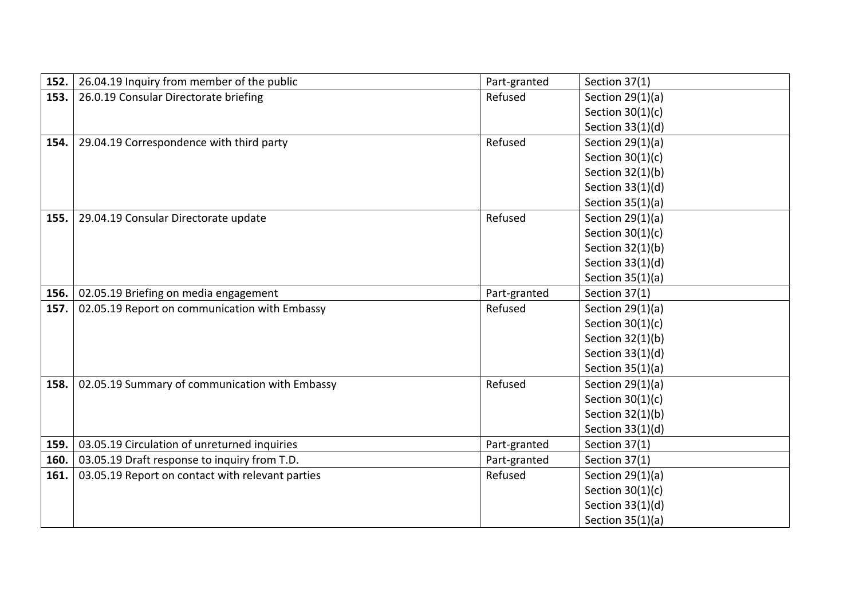| 152. | 26.04.19 Inquiry from member of the public       | Part-granted | Section 37(1)      |
|------|--------------------------------------------------|--------------|--------------------|
| 153. | 26.0.19 Consular Directorate briefing            | Refused      | Section $29(1)(a)$ |
|      |                                                  |              | Section $30(1)(c)$ |
|      |                                                  |              | Section $33(1)(d)$ |
| 154. | 29.04.19 Correspondence with third party         | Refused      | Section $29(1)(a)$ |
|      |                                                  |              | Section $30(1)(c)$ |
|      |                                                  |              | Section 32(1)(b)   |
|      |                                                  |              | Section 33(1)(d)   |
|      |                                                  |              | Section $35(1)(a)$ |
| 155. | 29.04.19 Consular Directorate update             | Refused      | Section $29(1)(a)$ |
|      |                                                  |              | Section $30(1)(c)$ |
|      |                                                  |              | Section 32(1)(b)   |
|      |                                                  |              | Section 33(1)(d)   |
|      |                                                  |              | Section $35(1)(a)$ |
| 156. | 02.05.19 Briefing on media engagement            | Part-granted | Section 37(1)      |
| 157. | 02.05.19 Report on communication with Embassy    | Refused      | Section $29(1)(a)$ |
|      |                                                  |              | Section $30(1)(c)$ |
|      |                                                  |              | Section $32(1)(b)$ |
|      |                                                  |              | Section 33(1)(d)   |
|      |                                                  |              | Section $35(1)(a)$ |
| 158. | 02.05.19 Summary of communication with Embassy   | Refused      | Section $29(1)(a)$ |
|      |                                                  |              | Section $30(1)(c)$ |
|      |                                                  |              | Section $32(1)(b)$ |
|      |                                                  |              | Section 33(1)(d)   |
| 159. | 03.05.19 Circulation of unreturned inquiries     | Part-granted | Section 37(1)      |
| 160. | 03.05.19 Draft response to inquiry from T.D.     | Part-granted | Section 37(1)      |
| 161. | 03.05.19 Report on contact with relevant parties | Refused      | Section $29(1)(a)$ |
|      |                                                  |              | Section $30(1)(c)$ |
|      |                                                  |              | Section 33(1)(d)   |
|      |                                                  |              | Section $35(1)(a)$ |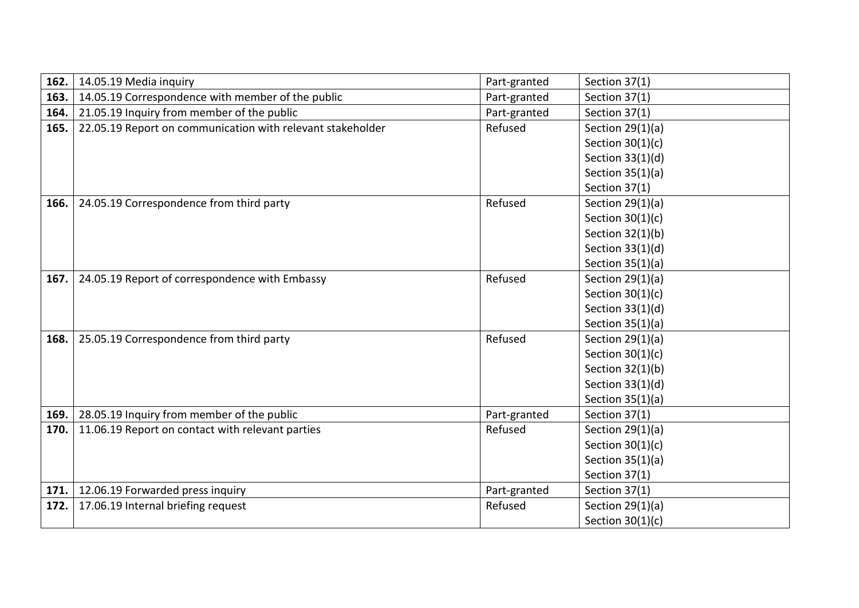| 162. | 14.05.19 Media inquiry                                     | Part-granted | Section 37(1)      |
|------|------------------------------------------------------------|--------------|--------------------|
| 163. | 14.05.19 Correspondence with member of the public          | Part-granted | Section 37(1)      |
| 164. | 21.05.19 Inquiry from member of the public                 | Part-granted | Section 37(1)      |
| 165. | 22.05.19 Report on communication with relevant stakeholder | Refused      | Section $29(1)(a)$ |
|      |                                                            |              | Section $30(1)(c)$ |
|      |                                                            |              | Section 33(1)(d)   |
|      |                                                            |              | Section $35(1)(a)$ |
|      |                                                            |              | Section 37(1)      |
| 166. | 24.05.19 Correspondence from third party                   | Refused      | Section $29(1)(a)$ |
|      |                                                            |              | Section $30(1)(c)$ |
|      |                                                            |              | Section 32(1)(b)   |
|      |                                                            |              | Section 33(1)(d)   |
|      |                                                            |              | Section $35(1)(a)$ |
| 167. | 24.05.19 Report of correspondence with Embassy             | Refused      | Section $29(1)(a)$ |
|      |                                                            |              | Section $30(1)(c)$ |
|      |                                                            |              | Section 33(1)(d)   |
|      |                                                            |              | Section $35(1)(a)$ |
| 168. | 25.05.19 Correspondence from third party                   | Refused      | Section $29(1)(a)$ |
|      |                                                            |              | Section $30(1)(c)$ |
|      |                                                            |              | Section 32(1)(b)   |
|      |                                                            |              | Section 33(1)(d)   |
|      |                                                            |              | Section 35(1)(a)   |
| 169. | 28.05.19 Inquiry from member of the public                 | Part-granted | Section 37(1)      |
| 170. | 11.06.19 Report on contact with relevant parties           | Refused      | Section $29(1)(a)$ |
|      |                                                            |              | Section $30(1)(c)$ |
|      |                                                            |              | Section $35(1)(a)$ |
|      |                                                            |              | Section 37(1)      |
| 171. | 12.06.19 Forwarded press inquiry                           | Part-granted | Section 37(1)      |
| 172. | 17.06.19 Internal briefing request                         | Refused      | Section $29(1)(a)$ |
|      |                                                            |              | Section $30(1)(c)$ |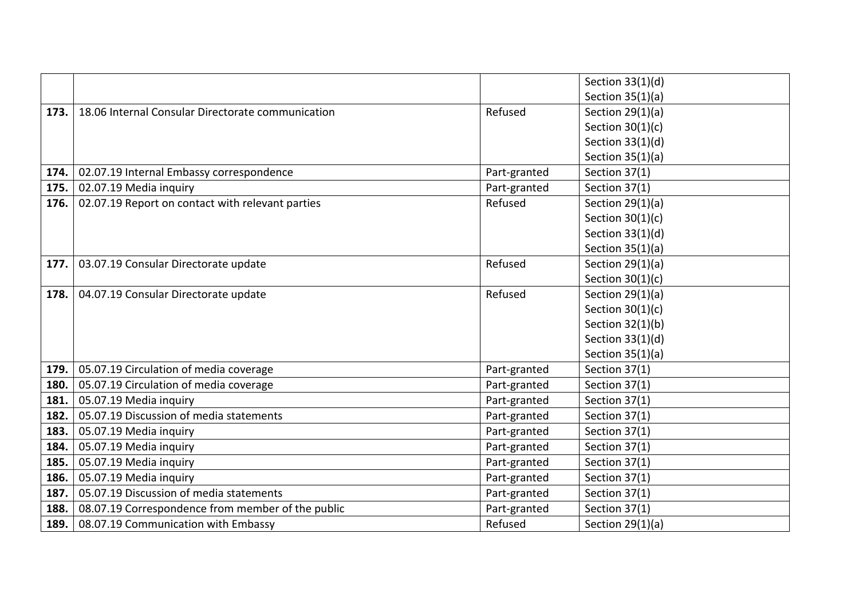|      |                                                   |              | Section $33(1)(d)$ |
|------|---------------------------------------------------|--------------|--------------------|
|      |                                                   |              | Section $35(1)(a)$ |
| 173. | 18.06 Internal Consular Directorate communication | Refused      | Section $29(1)(a)$ |
|      |                                                   |              | Section 30(1)(c)   |
|      |                                                   |              | Section 33(1)(d)   |
|      |                                                   |              | Section $35(1)(a)$ |
| 174. | 02.07.19 Internal Embassy correspondence          | Part-granted | Section 37(1)      |
| 175. | 02.07.19 Media inquiry                            | Part-granted | Section 37(1)      |
| 176. | 02.07.19 Report on contact with relevant parties  | Refused      | Section $29(1)(a)$ |
|      |                                                   |              | Section $30(1)(c)$ |
|      |                                                   |              | Section 33(1)(d)   |
|      |                                                   |              | Section $35(1)(a)$ |
| 177. | 03.07.19 Consular Directorate update              | Refused      | Section $29(1)(a)$ |
|      |                                                   |              | Section $30(1)(c)$ |
| 178. | 04.07.19 Consular Directorate update              | Refused      | Section $29(1)(a)$ |
|      |                                                   |              | Section $30(1)(c)$ |
|      |                                                   |              | Section 32(1)(b)   |
|      |                                                   |              | Section 33(1)(d)   |
|      |                                                   |              | Section $35(1)(a)$ |
| 179. | 05.07.19 Circulation of media coverage            | Part-granted | Section 37(1)      |
| 180. | 05.07.19 Circulation of media coverage            | Part-granted | Section 37(1)      |
| 181. | 05.07.19 Media inquiry                            | Part-granted | Section 37(1)      |
| 182. | 05.07.19 Discussion of media statements           | Part-granted | Section 37(1)      |
| 183. | 05.07.19 Media inquiry                            | Part-granted | Section 37(1)      |
| 184. | 05.07.19 Media inquiry                            | Part-granted | Section 37(1)      |
| 185. | 05.07.19 Media inquiry                            | Part-granted | Section 37(1)      |
| 186. | 05.07.19 Media inquiry                            | Part-granted | Section 37(1)      |
| 187. | 05.07.19 Discussion of media statements           | Part-granted | Section 37(1)      |
| 188. | 08.07.19 Correspondence from member of the public | Part-granted | Section 37(1)      |
| 189. | 08.07.19 Communication with Embassy               | Refused      | Section $29(1)(a)$ |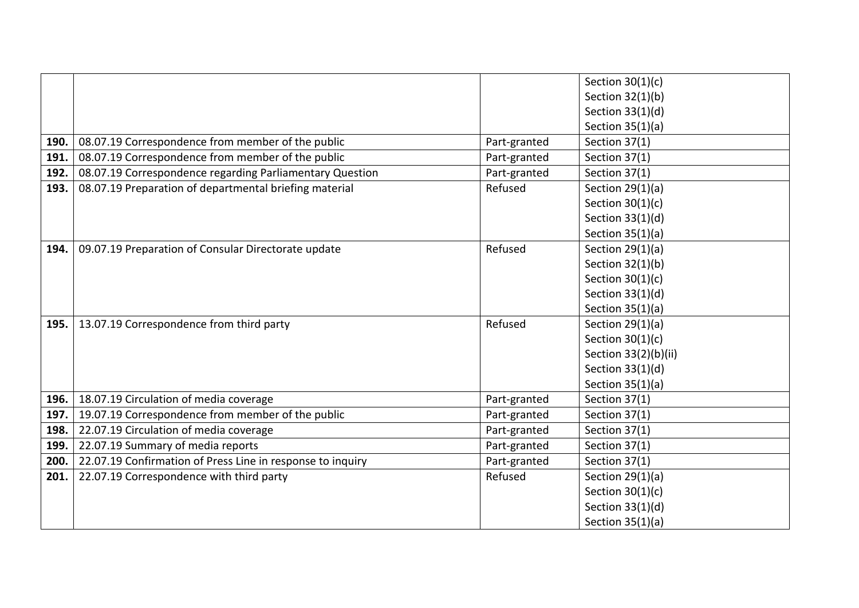|      |                                                            |              | Section $30(1)(c)$   |
|------|------------------------------------------------------------|--------------|----------------------|
|      |                                                            |              | Section 32(1)(b)     |
|      |                                                            |              | Section 33(1)(d)     |
|      |                                                            |              | Section $35(1)(a)$   |
| 190. | 08.07.19 Correspondence from member of the public          | Part-granted | Section 37(1)        |
| 191. | 08.07.19 Correspondence from member of the public          | Part-granted | Section 37(1)        |
| 192. | 08.07.19 Correspondence regarding Parliamentary Question   | Part-granted | Section 37(1)        |
| 193. | 08.07.19 Preparation of departmental briefing material     | Refused      | Section 29(1)(a)     |
|      |                                                            |              | Section $30(1)(c)$   |
|      |                                                            |              | Section 33(1)(d)     |
|      |                                                            |              | Section $35(1)(a)$   |
| 194. | 09.07.19 Preparation of Consular Directorate update        | Refused      | Section $29(1)(a)$   |
|      |                                                            |              | Section 32(1)(b)     |
|      |                                                            |              | Section $30(1)(c)$   |
|      |                                                            |              | Section 33(1)(d)     |
|      |                                                            |              | Section $35(1)(a)$   |
| 195. | 13.07.19 Correspondence from third party                   | Refused      | Section $29(1)(a)$   |
|      |                                                            |              | Section $30(1)(c)$   |
|      |                                                            |              | Section 33(2)(b)(ii) |
|      |                                                            |              | Section 33(1)(d)     |
|      |                                                            |              | Section $35(1)(a)$   |
| 196. | 18.07.19 Circulation of media coverage                     | Part-granted | Section 37(1)        |
| 197. | 19.07.19 Correspondence from member of the public          | Part-granted | Section 37(1)        |
| 198. | 22.07.19 Circulation of media coverage                     | Part-granted | Section 37(1)        |
| 199. | 22.07.19 Summary of media reports                          | Part-granted | Section 37(1)        |
| 200. | 22.07.19 Confirmation of Press Line in response to inquiry | Part-granted | Section 37(1)        |
| 201. | 22.07.19 Correspondence with third party                   | Refused      | Section $29(1)(a)$   |
|      |                                                            |              | Section $30(1)(c)$   |
|      |                                                            |              | Section 33(1)(d)     |
|      |                                                            |              | Section $35(1)(a)$   |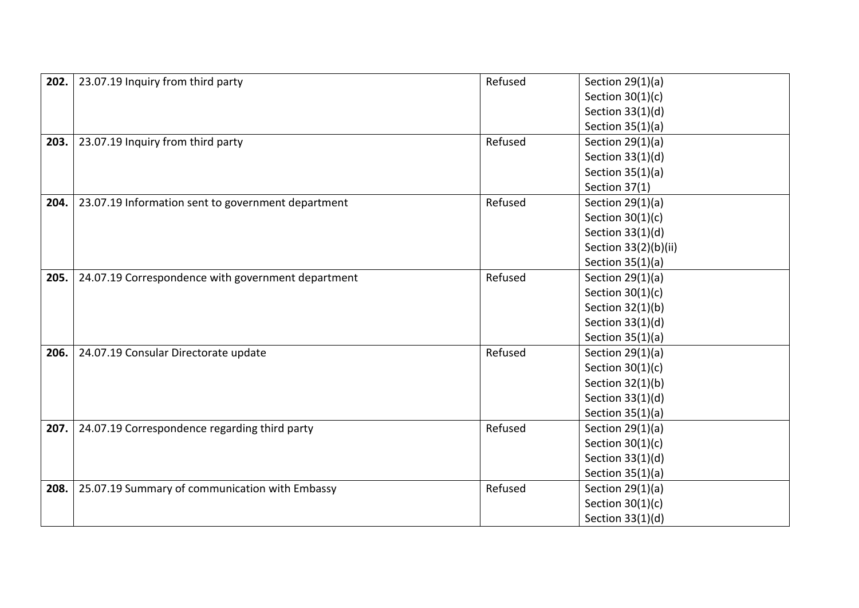| 202. | 23.07.19 Inquiry from third party                  | Refused | Section $29(1)(a)$   |
|------|----------------------------------------------------|---------|----------------------|
|      |                                                    |         | Section $30(1)(c)$   |
|      |                                                    |         | Section 33(1)(d)     |
|      |                                                    |         | Section $35(1)(a)$   |
| 203. | 23.07.19 Inquiry from third party                  | Refused | Section $29(1)(a)$   |
|      |                                                    |         | Section 33(1)(d)     |
|      |                                                    |         | Section $35(1)(a)$   |
|      |                                                    |         | Section 37(1)        |
| 204. | 23.07.19 Information sent to government department | Refused | Section $29(1)(a)$   |
|      |                                                    |         | Section $30(1)(c)$   |
|      |                                                    |         | Section 33(1)(d)     |
|      |                                                    |         | Section 33(2)(b)(ii) |
|      |                                                    |         | Section $35(1)(a)$   |
| 205. | 24.07.19 Correspondence with government department | Refused | Section $29(1)(a)$   |
|      |                                                    |         | Section $30(1)(c)$   |
|      |                                                    |         | Section 32(1)(b)     |
|      |                                                    |         | Section 33(1)(d)     |
|      |                                                    |         | Section $35(1)(a)$   |
| 206. | 24.07.19 Consular Directorate update               | Refused | Section $29(1)(a)$   |
|      |                                                    |         | Section $30(1)(c)$   |
|      |                                                    |         | Section 32(1)(b)     |
|      |                                                    |         | Section 33(1)(d)     |
|      |                                                    |         | Section $35(1)(a)$   |
| 207. | 24.07.19 Correspondence regarding third party      | Refused | Section $29(1)(a)$   |
|      |                                                    |         | Section $30(1)(c)$   |
|      |                                                    |         | Section 33(1)(d)     |
|      |                                                    |         | Section $35(1)(a)$   |
| 208. | 25.07.19 Summary of communication with Embassy     | Refused | Section $29(1)(a)$   |
|      |                                                    |         | Section $30(1)(c)$   |
|      |                                                    |         | Section $33(1)(d)$   |